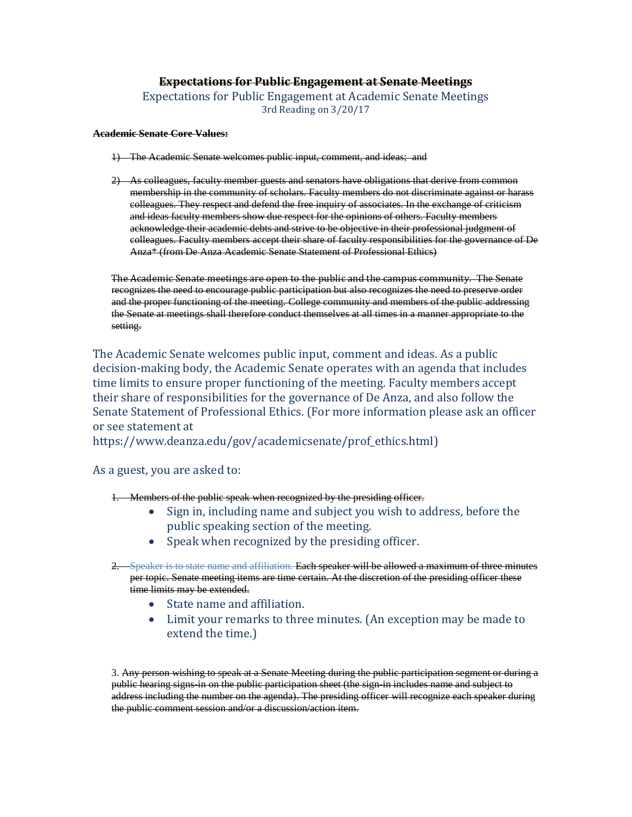## **Expectations for Public Engagement at Senate Meetings**

Expectations for Public Engagement at Academic Senate Meetings 3rd Reading on 3/20/17

## **Academic Senate Core Values:**

- 1) The Academic Senate welcomes public input, comment, and ideas; and
- 2) As colleagues, faculty member guests and senators have obligations that derive from common membership in the community of scholars. Faculty members do not discriminate against or harass colleagues. They respect and defend the free inquiry of associates. In the exchange of criticism and ideas faculty members show due respect for the opinions of others. Faculty members acknowledge their academic debts and strive to be objective in their professional judgment of colleagues. Faculty members accept their share of faculty responsibilities for the governance of De Anza\* (from De Anza Academic Senate Statement of Professional Ethics)

The Academic Senate meetings are open to the public and the campus community. The Senate recognizes the need to encourage public participation but also recognizes the need to preserve order and the proper functioning of the meeting. College community and members of the public addressing the Senate at meetings shall therefore conduct themselves at all times in a manner appropriate to the setting.

The Academic Senate welcomes public input, comment and ideas. As a public decision-making body, the Academic Senate operates with an agenda that includes time limits to ensure proper functioning of the meeting. Faculty members accept their share of responsibilities for the governance of De Anza, and also follow the Senate Statement of Professional Ethics. (For more information please ask an officer or see statement at

https://www.deanza.edu/gov/academicsenate/prof\_ethics.html)

As a guest, you are asked to:

1. Members of the public speak when recognized by the presiding officer.

- Sign in, including name and subject you wish to address, before the public speaking section of the meeting.
- Speak when recognized by the presiding officer.
- 2. Speaker is to state name and affiliation. Each speaker will be allowed a maximum of three minutes per topic. Senate meeting items are time certain. At the discretion of the presiding officer these time limits may be extended.
	- State name and affiliation.
	- Limit your remarks to three minutes. (An exception may be made to extend the time.)

3. Any person wishing to speak at a Senate Meeting during the public participation segment or during a public hearing signs-in on the public participation sheet (the sign-in includes name and subject to address including the number on the agenda). The presiding officer will recognize each speaker during the public comment session and/or a discussion/action item.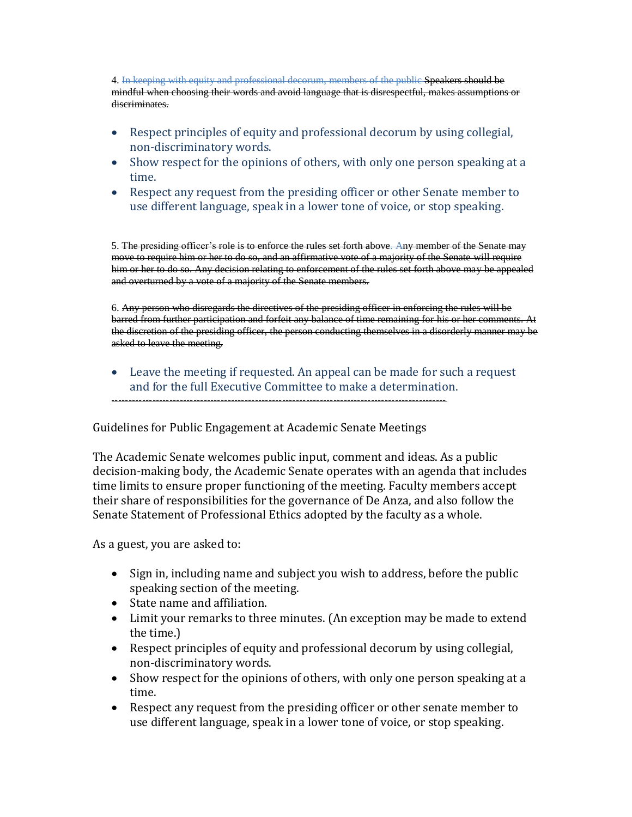4. In keeping with equity and professional decorum, members of the public Speakers should be mindful when choosing their words and avoid language that is disrespectful, makes assumptions or discriminates.

- Respect principles of equity and professional decorum by using collegial, non-discriminatory words.
- Show respect for the opinions of others, with only one person speaking at a time.
- Respect any request from the presiding officer or other Senate member to use different language, speak in a lower tone of voice, or stop speaking.

5. The presiding officer's role is to enforce the rules set forth above. Any member of the Senate may move to require him or her to do so, and an affirmative vote of a majority of the Senate will require him or her to do so. Any decision relating to enforcement of the rules set forth above may be appealed and overturned by a vote of a majority of the Senate members.

6. Any person who disregards the directives of the presiding officer in enforcing the rules will be barred from further participation and forfeit any balance of time remaining for his or her comments. At the discretion of the presiding officer, the person conducting themselves in a disorderly manner may be asked to leave the meeting.

 Leave the meeting if requested. An appeal can be made for such a request and for the full Executive Committee to make a determination. --------------------------------------------------------------------------------------------------

Guidelines for Public Engagement at Academic Senate Meetings

The Academic Senate welcomes public input, comment and ideas. As a public decision-making body, the Academic Senate operates with an agenda that includes time limits to ensure proper functioning of the meeting. Faculty members accept their share of responsibilities for the governance of De Anza, and also follow the Senate Statement of Professional Ethics adopted by the faculty as a whole.

As a guest, you are asked to:

- Sign in, including name and subject you wish to address, before the public speaking section of the meeting.
- State name and affiliation.
- Limit your remarks to three minutes. (An exception may be made to extend the time.)
- Respect principles of equity and professional decorum by using collegial, non-discriminatory words.
- Show respect for the opinions of others, with only one person speaking at a time.
- Respect any request from the presiding officer or other senate member to use different language, speak in a lower tone of voice, or stop speaking.